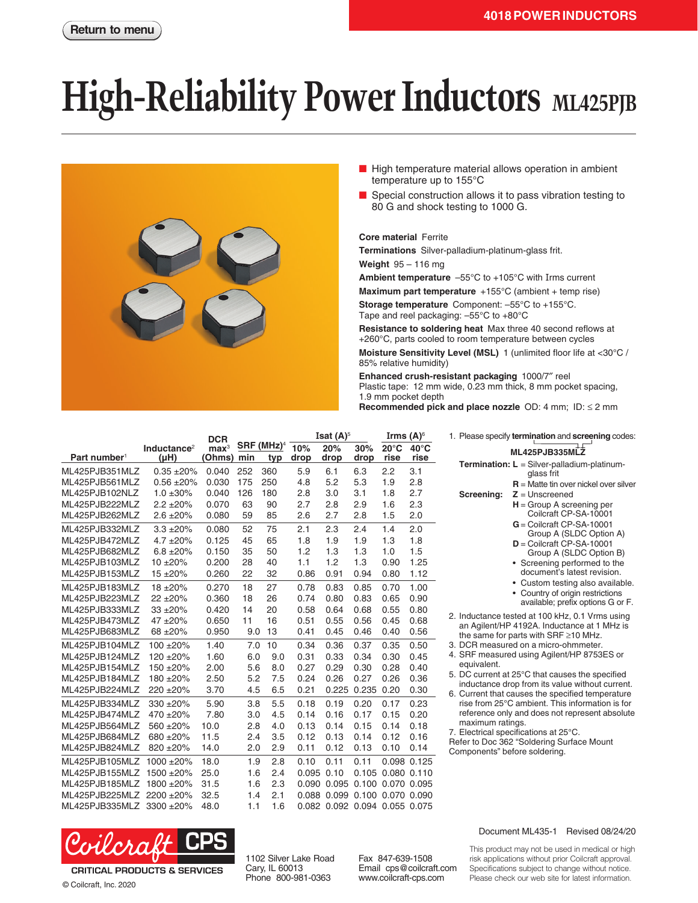# **High-Reliability Power Inductors** ML425PJB



- High temperature material allows operation in ambient temperature up to 155°C
- Special construction allows it to pass vibration testing to 80 G and shock testing to 1000 G.

#### **Core material** Ferrite

**Terminations** Silver-palladium-platinum-glass frit.

**Weight** 95 – 116 mg

**Ambient temperature** –55°C to +105°C with Irms current

**Maximum part temperature** +155°C (ambient + temp rise)

**Storage temperature** Component: –55°C to +155°C. Tape and reel packaging: –55°C to +80°C

**Resistance to soldering heat** Max three 40 second reflows at +260°C, parts cooled to room temperature between cycles

**Moisture Sensitivity Level (MSL)** 1 (unlimited floor life at <30°C / 85% relative humidity)

**Enhanced crush-resistant packaging** 1000/7″ reel Plastic tape: 12 mm wide, 0.23 mm thick, 8 mm pocket spacing, 1.9 mm pocket depth **Recommended pick and place nozzle** OD: 4 mm; ID: ≤ 2 mm

|                          |                                      | <b>DCR</b>                 |     |                      | <b>Isat <math>(A)^5</math></b> |             |             | Irms $(A)^\circ$              |                        | 1. Please specify termination and screening codes:                                                 |
|--------------------------|--------------------------------------|----------------------------|-----|----------------------|--------------------------------|-------------|-------------|-------------------------------|------------------------|----------------------------------------------------------------------------------------------------|
| Part number <sup>1</sup> | Inductance <sup>2</sup><br>$(\mu H)$ | $\mathbf{max}^3$<br>(Ohms) | min | SRF (MHz) $4$<br>typ | 10%<br>drop                    | 20%<br>drop | 30%<br>drop | $20^{\circ}$ C<br>rise        | $40^{\circ}$ C<br>rise | ML425PJB335MLZ                                                                                     |
| ML425PJB351MLZ           | $0.35 + 20%$                         | 0.040                      | 252 | 360                  | 5.9                            | 6.1         | 6.3         | 2.2                           | 3.1                    | Termination: L = Silver-palladium-platinum-<br>glass frit                                          |
| ML425PJB561MLZ           | $0.56 + 20%$                         | 0.030                      | 175 | 250                  | 4.8                            | 5.2         | 5.3         | 1.9                           | 2.8                    | $R =$ Matte tin over nickel over silver                                                            |
| ML425PJB102NLZ           | $1.0 \pm 30\%$                       | 0.040                      | 126 | 180                  | 2.8                            | 3.0         | 3.1         | 1.8                           | 2.7                    | Screening:<br>$Z =$ Unscreened                                                                     |
| ML425PJB222MLZ           | $2.2 \pm 20\%$                       | 0.070                      | 63  | 90                   | 2.7                            | 2.8         | 2.9         | 1.6                           | 2.3                    | $H =$ Group A screening per                                                                        |
| ML425PJB262MLZ           | $2.6 \pm 20\%$                       | 0.080                      | 59  | 85                   | 2.6                            | 2.7         | 2.8         | 1.5                           | 2.0                    | Coilcraft CP-SA-10001                                                                              |
| ML425PJB332MLZ           | $3.3 + 20%$                          | 0.080                      | 52  | 75                   | 2.1                            | 2.3         | 2.4         | 1.4                           | 2.0                    | $G =$ Coilcraft CP-SA-10001<br>Group A (SLDC Option A)                                             |
| ML425PJB472MLZ           | $4.7 \pm 20\%$                       | 0.125                      | 45  | 65                   | 1.8                            | 1.9         | 1.9         | 1.3                           | 1.8                    | $D =$ Coilcraft CP-SA-10001                                                                        |
| ML425PJB682MLZ           | $6.8 + 20%$                          | 0.150                      | 35  | 50                   | 1.2                            | 1.3         | 1.3         | 1.0                           | 1.5                    | Group A (SLDC Option B)                                                                            |
| ML425PJB103MLZ           | $10 + 20%$                           | 0.200                      | 28  | 40                   | 1.1                            | 1.2         | 1.3         | 0.90                          | 1.25                   | • Screening performed to the                                                                       |
| ML425PJB153MLZ           | $15 + 20%$                           | 0.260                      | 22  | 32                   | 0.86                           | 0.91        | 0.94        | 0.80                          | 1.12                   | document's latest revision.                                                                        |
| ML425PJB183MLZ           | $18 + 20%$                           | 0.270                      | 18  | 27                   | 0.78                           | 0.83        | 0.85        | 0.70                          | 1.00                   | • Custom testing also available.                                                                   |
| ML425PJB223MLZ           | $22 + 20%$                           | 0.360                      | 18  | 26                   | 0.74                           | 0.80        | 0.83        | 0.65                          | 0.90                   | • Country of origin restrictions<br>available; prefix options G or F.                              |
| ML425PJB333MLZ           | $33 + 20%$                           | 0.420                      | 14  | 20                   | 0.58                           | 0.64        | 0.68        | 0.55                          | 0.80                   |                                                                                                    |
| ML425PJB473MLZ           | 47 ±20%                              | 0.650                      | 11  | 16                   | 0.51                           | 0.55        | 0.56        | 0.45                          | 0.68                   | 2. Inductance tested at 100 kHz, 0.1 Vrms using<br>an Agilent/HP 4192A. Inductance at 1 MHz is     |
| ML425PJB683MLZ           | 68 ±20%                              | 0.950                      | 9.0 | 13                   | 0.41                           | 0.45        | 0.46        | 0.40                          | 0.56                   | the same for parts with SRF $\geq$ 10 MHz.                                                         |
| ML425PJB104MLZ           | 100 ±20%                             | 1.40                       | 7.0 | 10                   | 0.34                           | 0.36        | 0.37        | 0.35                          | 0.50                   | 3. DCR measured on a micro-ohmmeter.                                                               |
| ML425PJB124MLZ           | 120 ±20%                             | 1.60                       | 6.0 | 9.0                  | 0.31                           | 0.33        | 0.34        | 0.30                          | 0.45                   | 4. SRF measured using Agilent/HP 8753ES or                                                         |
| ML425PJB154MLZ           | 150 ±20%                             | 2.00                       | 5.6 | 8.0                  | 0.27                           | 0.29        | 0.30        | 0.28                          | 0.40                   | equivalent.                                                                                        |
| ML425PJB184MLZ           | 180 ±20%                             | 2.50                       | 5.2 | 7.5                  | 0.24                           | 0.26        | 0.27        | 0.26                          | 0.36                   | 5. DC current at 25°C that causes the specified<br>inductance drop from its value without current. |
| ML425PJB224MLZ           | 220 ± 20%                            | 3.70                       | 4.5 | 6.5                  | 0.21                           | 0.225       | 0.235 0.20  |                               | 0.30                   | 6. Current that causes the specified temperature                                                   |
| ML425PJB334MLZ           | 330 ±20%                             | 5.90                       | 3.8 | 5.5                  | 0.18                           | 0.19        | 0.20        | 0.17                          | 0.23                   | rise from 25°C ambient. This information is for                                                    |
| ML425PJB474MLZ           | $470 + 20%$                          | 7.80                       | 3.0 | 4.5                  | 0.14                           | 0.16        | 0.17        | 0.15                          | 0.20                   | reference only and does not represent absolute                                                     |
| ML425PJB564MLZ           | 560 ±20%                             | 10.0                       | 2.8 | 4.0                  | 0.13                           | 0.14        | 0.15        | 0.14                          | 0.18                   | maximum ratings.<br>7. Electrical specifications at 25°C.                                          |
| ML425PJB684MLZ           | 680 ±20%                             | 11.5                       | 2.4 | 3.5                  | 0.12                           | 0.13        | 0.14        | 0.12                          | 0.16                   | Refer to Doc 362 "Soldering Surface Mount                                                          |
| ML425PJB824MLZ           | 820 ± 20%                            | 14.0                       | 2.0 | 2.9                  | 0.11                           | 0.12        | 0.13        | 0.10                          | 0.14                   | Components" before soldering.                                                                      |
| ML425PJB105MLZ           | 1000 ±20%                            | 18.0                       | 1.9 | 2.8                  | 0.10                           | 0.11        | 0.11        |                               | 0.098 0.125            |                                                                                                    |
| ML425PJB155MLZ           | 1500 ±20%                            | 25.0                       | 1.6 | 2.4                  | 0.095                          | 0.10        |             | 0.105 0.080 0.110             |                        |                                                                                                    |
| ML425PJB185MLZ           | 1800 ±20%                            | 31.5                       | 1.6 | 2.3                  | 0.090                          |             |             | 0.095 0.100 0.070 0.095       |                        |                                                                                                    |
| ML425PJB225MLZ 2200 ±20% |                                      | 32.5                       | 1.4 | 2.1                  | 0.088                          |             |             | 0.099 0.100 0.070 0.090       |                        |                                                                                                    |
| ML425PJB335MLZ 3300 ±20% |                                      | 48.0                       | 1.1 | 1.6                  |                                |             |             | 0.082 0.092 0.094 0.055 0.075 |                        |                                                                                                    |
|                          |                                      |                            |     |                      |                                |             |             |                               |                        |                                                                                                    |

- DCR measured on a micro-ohmmeter.
- SRF measured using Agilent/HP 8753ES or equivalent.
- DC current at 25°C that causes the specified inductance drop from its value without current.
- Current that causes the specified temperature rise from 25°C ambient. This information is for reference only and does not represent absolute maximum ratings.



**CRITICAL PRODUCTS & SERVICES** © Coilcraft, Inc. 2020

1102 Silver Lake Road Cary, IL 60013 Phone 800-981-0363

Fax 847-639-1508 Email cps@coilcraft.com www.coilcraft-cps.com

#### Document ML435-1 Revised 08/24/20

This product may not be used in medical or high risk applications without prior Coilcraft approval. Specifications subject to change without notice. Please check our web site for latest information.